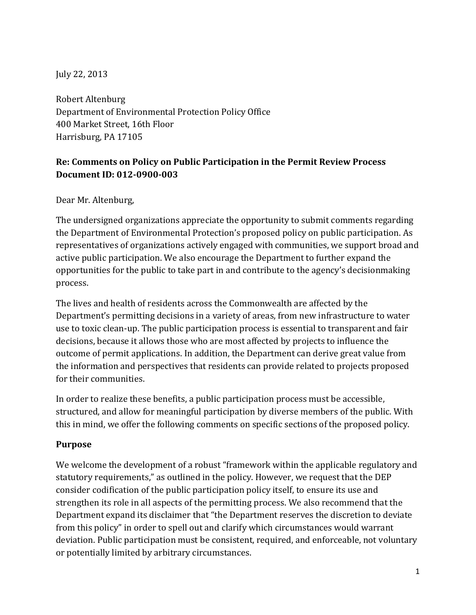July 22, 2013

Robert Altenburg Department of Environmental Protection Policy Office 400 Market Street, 16th Floor Harrisburg, PA 17105

## **Re: Comments on Policy on Public Participation in the Permit Review Process Document ID: 012-0900-003**

Dear Mr. Altenburg,

The undersigned organizations appreciate the opportunity to submit comments regarding the Department of Environmental Protection's proposed policy on public participation. As representatives of organizations actively engaged with communities, we support broad and active public participation. We also encourage the Department to further expand the opportunities for the public to take part in and contribute to the agency's decisionmaking process.

The lives and health of residents across the Commonwealth are affected by the Department's permitting decisions in a variety of areas, from new infrastructure to water use to toxic clean-up. The public participation process is essential to transparent and fair decisions, because it allows those who are most affected by projects to influence the outcome of permit applications. In addition, the Department can derive great value from the information and perspectives that residents can provide related to projects proposed for their communities.

In order to realize these benefits, a public participation process must be accessible, structured, and allow for meaningful participation by diverse members of the public. With this in mind, we offer the following comments on specific sections of the proposed policy.

#### **Purpose**

We welcome the development of a robust "framework within the applicable regulatory and statutory requirements," as outlined in the policy. However, we request that the DEP consider codification of the public participation policy itself, to ensure its use and strengthen its role in all aspects of the permitting process. We also recommend that the Department expand its disclaimer that "the Department reserves the discretion to deviate from this policy" in order to spell out and clarify which circumstances would warrant deviation. Public participation must be consistent, required, and enforceable, not voluntary or potentially limited by arbitrary circumstances.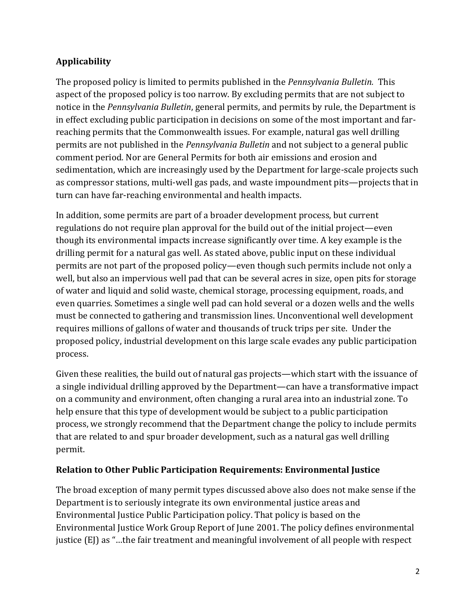# **Applicability**

The proposed policy is limited to permits published in the *Pennsylvania Bulletin.* This aspect of the proposed policy is too narrow. By excluding permits that are not subject to notice in the *Pennsylvania Bulletin*, general permits, and permits by rule, the Department is in effect excluding public participation in decisions on some of the most important and farreaching permits that the Commonwealth issues. For example, natural gas well drilling permits are not published in the *Pennsylvania Bulletin* and not subject to a general public comment period. Nor are General Permits for both air emissions and erosion and sedimentation, which are increasingly used by the Department for large-scale projects such as compressor stations, multi-well gas pads, and waste impoundment pits—projects that in turn can have far-reaching environmental and health impacts.

In addition, some permits are part of a broader development process, but current regulations do not require plan approval for the build out of the initial project—even though its environmental impacts increase significantly over time. A key example is the drilling permit for a natural gas well. As stated above, public input on these individual permits are not part of the proposed policy—even though such permits include not only a well, but also an impervious well pad that can be several acres in size, open pits for storage of water and liquid and solid waste, chemical storage, processing equipment, roads, and even quarries. Sometimes a single well pad can hold several or a dozen wells and the wells must be connected to gathering and transmission lines. Unconventional well development requires millions of gallons of water and thousands of truck trips per site. Under the proposed policy, industrial development on this large scale evades any public participation process.

Given these realities, the build out of natural gas projects—which start with the issuance of a single individual drilling approved by the Department—can have a transformative impact on a community and environment, often changing a rural area into an industrial zone. To help ensure that this type of development would be subject to a public participation process, we strongly recommend that the Department change the policy to include permits that are related to and spur broader development, such as a natural gas well drilling permit.

#### **Relation to Other Public Participation Requirements: Environmental Justice**

The broad exception of many permit types discussed above also does not make sense if the Department is to seriously integrate its own environmental justice areas and Environmental Justice Public Participation policy. That policy is based on the Environmental Justice Work Group Report of June 2001. The policy defines environmental justice (EJ) as "...the fair treatment and meaningful involvement of all people with respect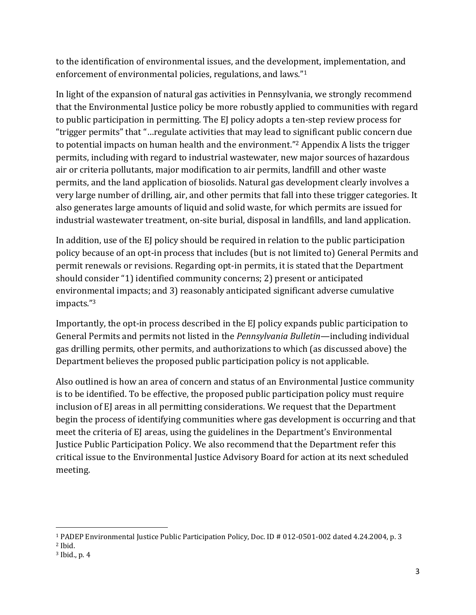to the identification of environmental issues, and the development, implementation, and enforcement of environmental policies, regulations, and laws."<sup>1</sup>

In light of the expansion of natural gas activities in Pennsylvania, we strongly recommend that the Environmental Justice policy be more robustly applied to communities with regard to public participation in permitting. The EJ policy adopts a ten-step review process for "trigger permits" that "…regulate activities that may lead to significant public concern due to potential impacts on human health and the environment."<sup>2</sup> Appendix A lists the trigger permits, including with regard to industrial wastewater, new major sources of hazardous air or criteria pollutants, major modification to air permits, landfill and other waste permits, and the land application of biosolids. Natural gas development clearly involves a very large number of drilling, air, and other permits that fall into these trigger categories. It also generates large amounts of liquid and solid waste, for which permits are issued for industrial wastewater treatment, on-site burial, disposal in landfills, and land application.

In addition, use of the EJ policy should be required in relation to the public participation policy because of an opt-in process that includes (but is not limited to) General Permits and permit renewals or revisions. Regarding opt-in permits, it is stated that the Department should consider "1) identified community concerns; 2) present or anticipated environmental impacts; and 3) reasonably anticipated significant adverse cumulative impacts."<sup>3</sup>

Importantly, the opt-in process described in the EJ policy expands public participation to General Permits and permits not listed in the *Pennsylvania Bulletin*—including individual gas drilling permits, other permits, and authorizations to which (as discussed above) the Department believes the proposed public participation policy is not applicable.

Also outlined is how an area of concern and status of an Environmental Justice community is to be identified. To be effective, the proposed public participation policy must require inclusion of EJ areas in all permitting considerations. We request that the Department begin the process of identifying communities where gas development is occurring and that meet the criteria of EJ areas, using the guidelines in the Department's Environmental Justice Public Participation Policy. We also recommend that the Department refer this critical issue to the Environmental Justice Advisory Board for action at its next scheduled meeting.

 $\overline{\phantom{a}}$ <sup>1</sup> PADEP Environmental Justice Public Participation Policy, Doc. ID # 012-0501-002 dated 4.24.2004, p. 3

<sup>2</sup> Ibid.

<sup>3</sup> Ibid., p. 4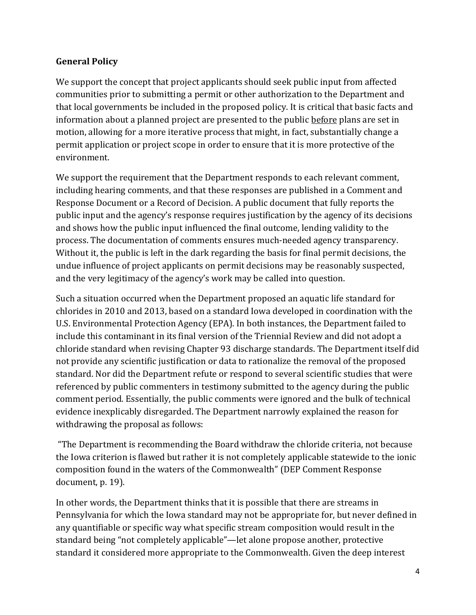#### **General Policy**

We support the concept that project applicants should seek public input from affected communities prior to submitting a permit or other authorization to the Department and that local governments be included in the proposed policy. It is critical that basic facts and information about a planned project are presented to the public before plans are set in motion, allowing for a more iterative process that might, in fact, substantially change a permit application or project scope in order to ensure that it is more protective of the environment.

We support the requirement that the Department responds to each relevant comment, including hearing comments, and that these responses are published in a Comment and Response Document or a Record of Decision. A public document that fully reports the public input and the agency's response requires justification by the agency of its decisions and shows how the public input influenced the final outcome, lending validity to the process. The documentation of comments ensures much-needed agency transparency. Without it, the public is left in the dark regarding the basis for final permit decisions, the undue influence of project applicants on permit decisions may be reasonably suspected, and the very legitimacy of the agency's work may be called into question.

Such a situation occurred when the Department proposed an aquatic life standard for chlorides in 2010 and 2013, based on a standard Iowa developed in coordination with the U.S. Environmental Protection Agency (EPA). In both instances, the Department failed to include this contaminant in its final version of the Triennial Review and did not adopt a chloride standard when revising Chapter 93 discharge standards. The Department itself did not provide any scientific justification or data to rationalize the removal of the proposed standard. Nor did the Department refute or respond to several scientific studies that were referenced by public commenters in testimony submitted to the agency during the public comment period. Essentially, the public comments were ignored and the bulk of technical evidence inexplicably disregarded. The Department narrowly explained the reason for withdrawing the proposal as follows:

"The Department is recommending the Board withdraw the chloride criteria, not because the Iowa criterion is flawed but rather it is not completely applicable statewide to the ionic composition found in the waters of the Commonwealth" (DEP Comment Response document, p. 19).

In other words, the Department thinks that it is possible that there are streams in Pennsylvania for which the Iowa standard may not be appropriate for, but never defined in any quantifiable or specific way what specific stream composition would result in the standard being "not completely applicable"—let alone propose another, protective standard it considered more appropriate to the Commonwealth. Given the deep interest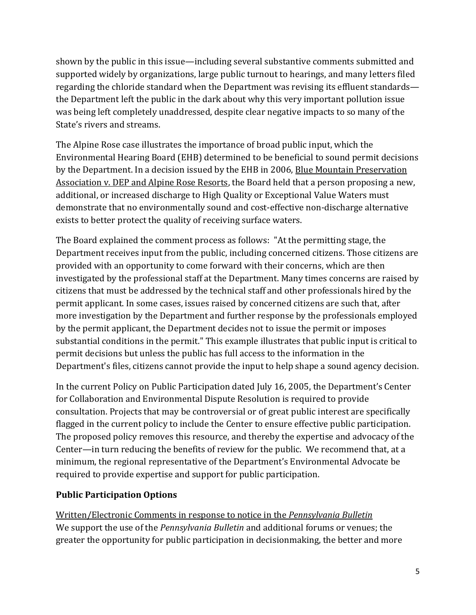shown by the public in this issue—including several substantive comments submitted and supported widely by organizations, large public turnout to hearings, and many letters filed regarding the chloride standard when the Department was revising its effluent standards the Department left the public in the dark about why this very important pollution issue was being left completely unaddressed, despite clear negative impacts to so many of the State's rivers and streams.

The Alpine Rose case illustrates the importance of broad public input, which the Environmental Hearing Board (EHB) determined to be beneficial to sound permit decisions by the Department. In a decision issued by the EHB in 2006, Blue Mountain Preservation Association v. DEP and Alpine Rose Resorts, the Board held that a person proposing a new, additional, or increased discharge to High Quality or Exceptional Value Waters must demonstrate that no environmentally sound and cost-effective non-discharge alternative exists to better protect the quality of receiving surface waters.

The Board explained the comment process as follows: "At the permitting stage, the Department receives input from the public, including concerned citizens. Those citizens are provided with an opportunity to come forward with their concerns, which are then investigated by the professional staff at the Department. Many times concerns are raised by citizens that must be addressed by the technical staff and other professionals hired by the permit applicant. In some cases, issues raised by concerned citizens are such that, after more investigation by the Department and further response by the professionals employed by the permit applicant, the Department decides not to issue the permit or imposes substantial conditions in the permit." This example illustrates that public input is critical to permit decisions but unless the public has full access to the information in the Department's files, citizens cannot provide the input to help shape a sound agency decision.

In the current Policy on Public Participation dated July 16, 2005, the Department's Center for Collaboration and Environmental Dispute Resolution is required to provide consultation. Projects that may be controversial or of great public interest are specifically flagged in the current policy to include the Center to ensure effective public participation. The proposed policy removes this resource, and thereby the expertise and advocacy of the Center—in turn reducing the benefits of review for the public. We recommend that, at a minimum, the regional representative of the Department's Environmental Advocate be required to provide expertise and support for public participation.

## **Public Participation Options**

Written/Electronic Comments in response to notice in the *Pennsylvania Bulletin* We support the use of the *Pennsylvania Bulletin* and additional forums or venues; the greater the opportunity for public participation in decisionmaking, the better and more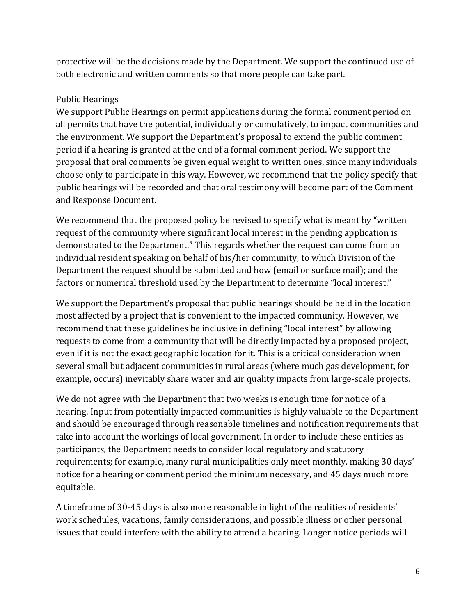protective will be the decisions made by the Department. We support the continued use of both electronic and written comments so that more people can take part.

### Public Hearings

We support Public Hearings on permit applications during the formal comment period on all permits that have the potential, individually or cumulatively, to impact communities and the environment. We support the Department's proposal to extend the public comment period if a hearing is granted at the end of a formal comment period. We support the proposal that oral comments be given equal weight to written ones, since many individuals choose only to participate in this way. However, we recommend that the policy specify that public hearings will be recorded and that oral testimony will become part of the Comment and Response Document.

We recommend that the proposed policy be revised to specify what is meant by "written request of the community where significant local interest in the pending application is demonstrated to the Department." This regards whether the request can come from an individual resident speaking on behalf of his/her community; to which Division of the Department the request should be submitted and how (email or surface mail); and the factors or numerical threshold used by the Department to determine "local interest."

We support the Department's proposal that public hearings should be held in the location most affected by a project that is convenient to the impacted community. However, we recommend that these guidelines be inclusive in defining "local interest" by allowing requests to come from a community that will be directly impacted by a proposed project, even if it is not the exact geographic location for it. This is a critical consideration when several small but adjacent communities in rural areas (where much gas development, for example, occurs) inevitably share water and air quality impacts from large-scale projects.

We do not agree with the Department that two weeks is enough time for notice of a hearing. Input from potentially impacted communities is highly valuable to the Department and should be encouraged through reasonable timelines and notification requirements that take into account the workings of local government. In order to include these entities as participants, the Department needs to consider local regulatory and statutory requirements; for example, many rural municipalities only meet monthly, making 30 days' notice for a hearing or comment period the minimum necessary, and 45 days much more equitable.

A timeframe of 30-45 days is also more reasonable in light of the realities of residents' work schedules, vacations, family considerations, and possible illness or other personal issues that could interfere with the ability to attend a hearing. Longer notice periods will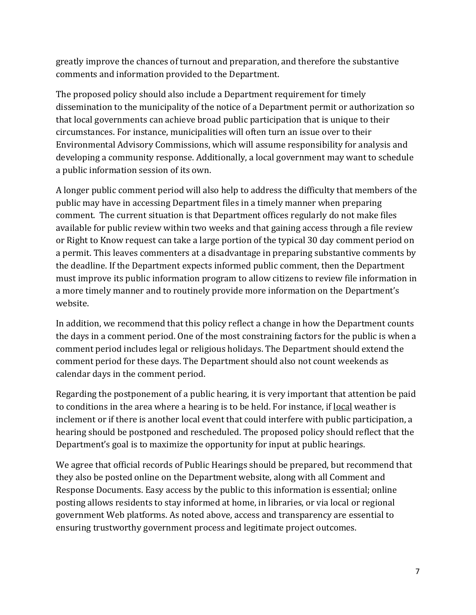greatly improve the chances of turnout and preparation, and therefore the substantive comments and information provided to the Department.

The proposed policy should also include a Department requirement for timely dissemination to the municipality of the notice of a Department permit or authorization so that local governments can achieve broad public participation that is unique to their circumstances. For instance, municipalities will often turn an issue over to their Environmental Advisory Commissions, which will assume responsibility for analysis and developing a community response. Additionally, a local government may want to schedule a public information session of its own.

A longer public comment period will also help to address the difficulty that members of the public may have in accessing Department files in a timely manner when preparing comment. The current situation is that Department offices regularly do not make files available for public review within two weeks and that gaining access through a file review or Right to Know request can take a large portion of the typical 30 day comment period on a permit. This leaves commenters at a disadvantage in preparing substantive comments by the deadline. If the Department expects informed public comment, then the Department must improve its public information program to allow citizens to review file information in a more timely manner and to routinely provide more information on the Department's website.

In addition, we recommend that this policy reflect a change in how the Department counts the days in a comment period. One of the most constraining factors for the public is when a comment period includes legal or religious holidays. The Department should extend the comment period for these days. The Department should also not count weekends as calendar days in the comment period.

Regarding the postponement of a public hearing, it is very important that attention be paid to conditions in the area where a hearing is to be held. For instance, if local weather is inclement or if there is another local event that could interfere with public participation, a hearing should be postponed and rescheduled. The proposed policy should reflect that the Department's goal is to maximize the opportunity for input at public hearings.

We agree that official records of Public Hearings should be prepared, but recommend that they also be posted online on the Department website, along with all Comment and Response Documents. Easy access by the public to this information is essential; online posting allows residents to stay informed at home, in libraries, or via local or regional government Web platforms. As noted above, access and transparency are essential to ensuring trustworthy government process and legitimate project outcomes.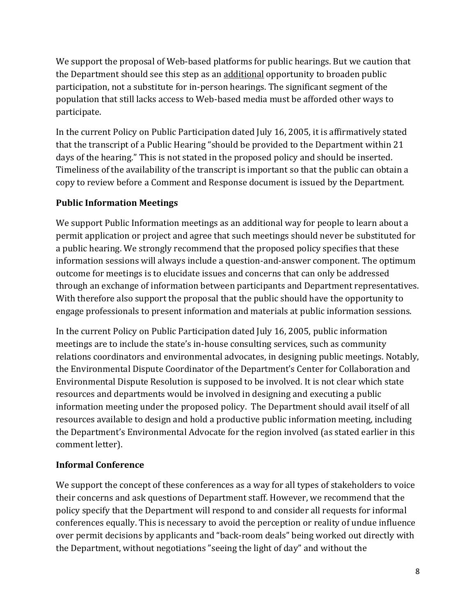We support the proposal of Web-based platforms for public hearings. But we caution that the Department should see this step as an additional opportunity to broaden public participation, not a substitute for in-person hearings. The significant segment of the population that still lacks access to Web-based media must be afforded other ways to participate.

In the current Policy on Public Participation dated July 16, 2005, it is affirmatively stated that the transcript of a Public Hearing "should be provided to the Department within 21 days of the hearing." This is not stated in the proposed policy and should be inserted. Timeliness of the availability of the transcript is important so that the public can obtain a copy to review before a Comment and Response document is issued by the Department.

# **Public Information Meetings**

We support Public Information meetings as an additional way for people to learn about a permit application or project and agree that such meetings should never be substituted for a public hearing. We strongly recommend that the proposed policy specifies that these information sessions will always include a question-and-answer component. The optimum outcome for meetings is to elucidate issues and concerns that can only be addressed through an exchange of information between participants and Department representatives. With therefore also support the proposal that the public should have the opportunity to engage professionals to present information and materials at public information sessions.

In the current Policy on Public Participation dated July 16, 2005, public information meetings are to include the state's in-house consulting services, such as community relations coordinators and environmental advocates, in designing public meetings. Notably, the Environmental Dispute Coordinator of the Department's Center for Collaboration and Environmental Dispute Resolution is supposed to be involved. It is not clear which state resources and departments would be involved in designing and executing a public information meeting under the proposed policy. The Department should avail itself of all resources available to design and hold a productive public information meeting, including the Department's Environmental Advocate for the region involved (as stated earlier in this comment letter).

## **Informal Conference**

We support the concept of these conferences as a way for all types of stakeholders to voice their concerns and ask questions of Department staff. However, we recommend that the policy specify that the Department will respond to and consider all requests for informal conferences equally. This is necessary to avoid the perception or reality of undue influence over permit decisions by applicants and "back-room deals" being worked out directly with the Department, without negotiations "seeing the light of day" and without the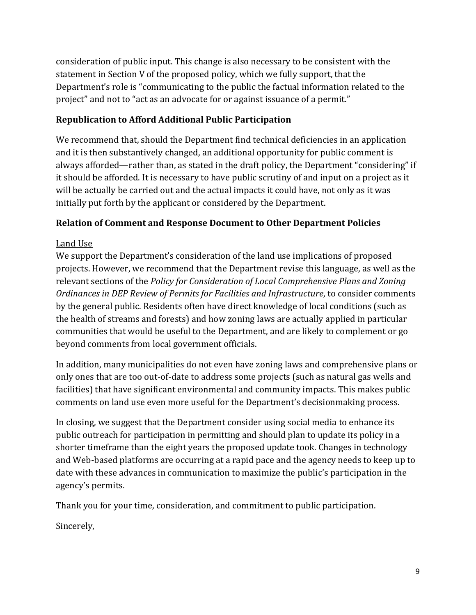consideration of public input. This change is also necessary to be consistent with the statement in Section V of the proposed policy, which we fully support, that the Department's role is "communicating to the public the factual information related to the project" and not to "act as an advocate for or against issuance of a permit."

### **Republication to Afford Additional Public Participation**

We recommend that, should the Department find technical deficiencies in an application and it is then substantively changed, an additional opportunity for public comment is always afforded—rather than, as stated in the draft policy, the Department "considering" if it should be afforded. It is necessary to have public scrutiny of and input on a project as it will be actually be carried out and the actual impacts it could have, not only as it was initially put forth by the applicant or considered by the Department.

### **Relation of Comment and Response Document to Other Department Policies**

### Land Use

We support the Department's consideration of the land use implications of proposed projects. However, we recommend that the Department revise this language, as well as the relevant sections of the *Policy for Consideration of Local Comprehensive Plans and Zoning Ordinances in DEP Review of Permits for Facilities and Infrastructure*, to consider comments by the general public. Residents often have direct knowledge of local conditions (such as the health of streams and forests) and how zoning laws are actually applied in particular communities that would be useful to the Department, and are likely to complement or go beyond comments from local government officials.

In addition, many municipalities do not even have zoning laws and comprehensive plans or only ones that are too out-of-date to address some projects (such as natural gas wells and facilities) that have significant environmental and community impacts. This makes public comments on land use even more useful for the Department's decisionmaking process.

In closing, we suggest that the Department consider using social media to enhance its public outreach for participation in permitting and should plan to update its policy in a shorter timeframe than the eight years the proposed update took. Changes in technology and Web-based platforms are occurring at a rapid pace and the agency needs to keep up to date with these advances in communication to maximize the public's participation in the agency's permits.

Thank you for your time, consideration, and commitment to public participation.

Sincerely,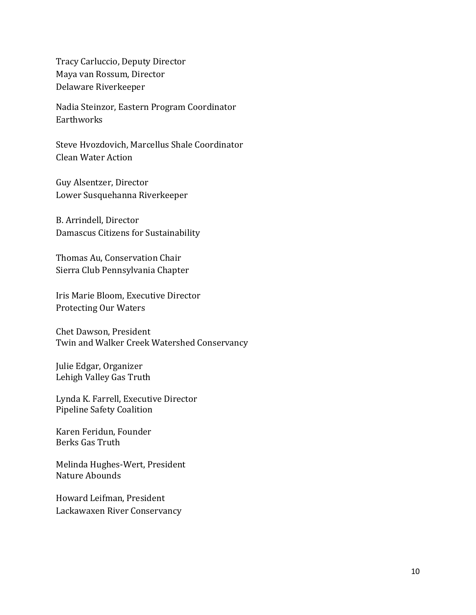Tracy Carluccio, Deputy Director Maya van Rossum, Director Delaware Riverkeeper

Nadia Steinzor, Eastern Program Coordinator Earthworks

Steve Hvozdovich, Marcellus Shale Coordinator Clean Water Action

Guy Alsentzer, Director Lower Susquehanna Riverkeeper

B. Arrindell, Director Damascus Citizens for Sustainability

Thomas Au, Conservation Chair Sierra Club Pennsylvania Chapter

Iris Marie Bloom, Executive Director Protecting Our Waters

Chet Dawson, President Twin and Walker Creek Watershed Conservancy

Julie Edgar, Organizer Lehigh Valley Gas Truth

Lynda K. Farrell, Executive Director Pipeline Safety Coalition

Karen Feridun, Founder Berks Gas Truth

Melinda Hughes-Wert, President Nature Abounds

Howard Leifman, President Lackawaxen River Conservancy